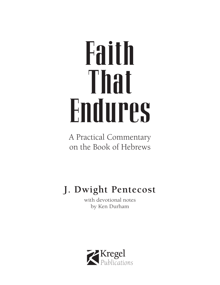# Faith That Endures

A Practical Commentary on the Book of Hebrews

## **J. Dwight Pentecost**

with devotional notes by Ken Durham

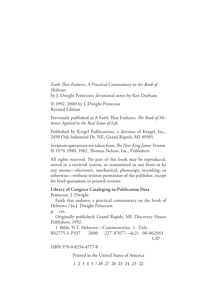*Faith That Endures: A Practical Commentary on the Book of Hebrews* 

by J. Dwight Pentecost; devotional notes by Ken Durham

© 1992, 2000 by J. Dwight Pentecost Revised Edition

Previously published as A Faith That Endures: *The Book of Hebrews Applied to the Real Issues of Life.*

Published by Kregel Publications, a division of Kregel, Inc., 2450 Oak Industrial Dr. NE, Grand Rapids, MI 49505.

Scripture quotations are taken from *The New King James Version*. © 1979, 1980, 1982, Thomas Nelson, Inc., Publishers.

All rights reserved. No part of this book may be reproduced, stored in a retrieval system, or transmitted in any form or by any means—electronic, mechanical, photocopy, recording, or otherwise—without written permission of the publisher, except for brief quotations in printed reviews.

**Library of Congress Cataloging-in-Publication Data** Pentecost, J. Dwight

Faith that endures: a practical commentary on the book of Hebrews / by J. Dwight Pentecost.

p. cm.

Originally published: Grand Rapids, MI: Discovery House Publishers, 1992.

1. Bible. N.T. Hebrews—Commentaries. I. Title. BS2775.3 .P337 2000 227'.87077—dc21 00-062943 CIP

ISBN 978-0-8254-

Printed in the United States of America

1 2 3 4 5 / 28 27 26 25 24 23 22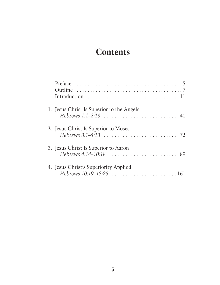## **Contents**

| 1. Jesus Christ Is Superior to the Angels |
|-------------------------------------------|
| 2. Jesus Christ Is Superior to Moses      |
| 3. Jesus Christ Is Superior to Aaron      |
| 4. Jesus Christ's Superiority Applied     |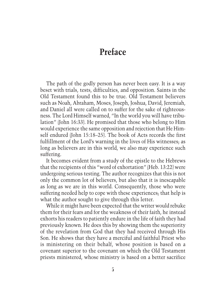## **Preface**

The path of the godly person has never been easy. It is a way beset with trials, tests, difficulties, and opposition. Saints in the Old Testament found this to be true. Old Testament believers such as Noah, Abraham, Moses, Joseph, Joshua, David, Jeremiah, and Daniel all were called on to suffer for the sake of righteousness. The Lord Himself warned, "In the world you will have tribulation" (John 16:33). He promised that those who belong to Him would experience the same opposition and rejection that He Himself endured (John 15:18–25). The book of Acts records the first fulfillment of the Lord's warning in the lives of His witnesses; as long as believers are in this world, we also may experience such suffering.

It becomes evident from a study of the epistle to the Hebrews that the recipients of this "word of exhortation" (Heb. 13:22) were undergoing serious testing. The author recognizes that this is not only the common lot of believers, but also that it is inescapable as long as we are in this world. Consequently, those who were suffering needed help to cope with these experiences; that help is what the author sought to give through this letter.

While it might have been expected that the writer would rebuke them for their fears and for the weakness of their faith, he instead exhorts his readers to patiently endure in the life of faith they had previously known. He does this by showing them the superiority of the revelation from God that they had received through His Son. He shows that they have a merciful and faithful Priest who is ministering on their behalf, whose position is based on a covenant superior to the covenant on which the Old Testament priests ministered, whose ministry is based on a better sacrifice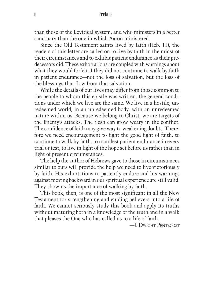6 Preface

than those of the Levitical system, and who ministers in a better sanctuary than the one in which Aaron ministered.

Since the Old Testament saints lived by faith (Heb. 11), the readers of this letter are called on to live by faith in the midst of their circumstances and to exhibit patient endurance as their predecessors did. These exhortations are coupled with warnings about what they would forfeit if they did not continue to walk by faith in patient endurance—not the loss of salvation, but the loss of the blessings that flow from that salvation.

While the details of our lives may differ from those common to the people to whom this epistle was written, the general conditions under which we live are the same. We live in a hostile, unredeemed world, in an unredeemed body, with an unredeemed nature within us. Because we belong to Christ, we are targets of the Enemy's attacks. The flesh can grow weary in the conflict. The confidence of faith may give way to weakening doubts. Therefore we need encouragement to fight the good fight of faith, to continue to walk by faith, to manifest patient endurance in every trial or test, to live in light of the hope set before us rather than in light of present circumstances.

The help the author of Hebrews gave to those in circumstances similar to ours will provide the help we need to live victoriously by faith. His exhortations to patiently endure and his warnings against moving backward in our spiritual experience are still valid. They show us the importance of walking by faith.

This book, then, is one of the most significant in all the New Testament for strengthening and guiding believers into a life of faith. We cannot seriously study this book and apply its truths without maturing both in a knowledge of the truth and in a walk that pleases the One who has called us to a life of faith.

—J. DWIGHT PENTECOST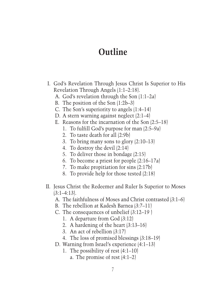- I. God's Revelation Through Jesus Christ Is Superior to His Revelation Through Angels (1:1–2:18).
	- A. God's revelation through the Son (1:1–2a)
	- B. The position of the Son (1:2b–3)
	- C. The Son's superiority to angels (1:4–14)
	- D. A stern warning against neglect (2:1–4)
	- E. Reasons for the incarnation of the Son (2:5–18)
		- 1. To fulfill God's purpose for man (2:5–9a)
		- 2. To taste death for all (2:9b)
		- 3. To bring many sons to glory (2:10–13)
		- 4. To destroy the devil (2:14)
		- 5. To deliver those in bondage (2:15)
		- 6. To become a priest for people (2:16–17a)
		- 7. To make propitiation for sins (2:17b)
		- 8. To provide help for those tested (2:18)
- II. Jesus Christ the Redeemer and Ruler Is Superior to Moses  $(3:1-4:13)$ .
	- A. The faithfulness of Moses and Christ contrasted (3:1–6)
	- B. The rebellion at Kadesh Barnea (3:7–11)
	- C. The consequences of unbelief (3:12–19 )
		- 1. A departure from God (3:12)
		- 2. A hardening of the heart (3:13–16)
		- 3. An act of rebellion (3:17)
		- 4. The loss of promised blessings (3:18–19)
	- D. Warning from Israel's experience (4:1–13)
		- 1. The possibility of rest (4:1–10)
			- a. The promise of rest (4:1–2)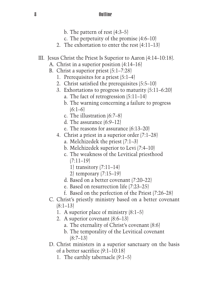- b. The pattern of rest (4:3–5)
- c. The perpetuity of the promise (4:6–10)
- 2. The exhortation to enter the rest (4:11–13)
- III. Jesus Christ the Priest Is Superior to Aaron (4:14–10:18).
	- A. Christ in a superior position (4:14–16)
	- B. Christ a superior priest (5:1–7:28)
		- 1. Prerequisites for a priest (5:1–4)
		- 2. Christ satisfied the prerequisites (5:5–10)
		- 3. Exhortations to progress to maturity (5:11–6:20)
			- a. The fact of retrogression (5:11–14)
			- b. The warning concerning a failure to progress  $(6:1–6)$
			- c. The illustration (6:7–8)
			- d. The assurance (6:9–12)
			- e. The reasons for assurance (6:13–20)
		- 4. Christ a priest in a superior order (7:1–28)
			- a. Melchizedek the priest (7:1–3)
			- b. Melchizedek superior to Levi (7:4–10)
			- c. The weakness of the Levitical priesthood  $(7:11-19)$ 
				- 1) transitory (7:11–14)
				- 2) temporary (7:15–19)
			- d. Based on a better covenant (7:20–22)
			- e. Based on resurrection life (7:23–25)
			- f. Based on the perfection of the Priest (7:26–28)
	- C. Christ's priestly ministry based on a better covenant (8:1–13)
		- 1. A superior place of ministry (8:1–5)
		- 2. A superior covenant (8:6–13)
			- a. The eternality of Christ's covenant (8:6)
			- b. The temporality of the Levitical covenant  $(8:7-13)$
	- D. Christ ministers in a superior sanctuary on the basis of a better sacrifice (9:1–10:18)
		- 1. The earthly tabernacle (9:1–5)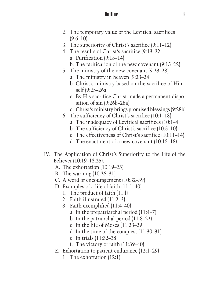- 2. The temporary value of the Levitical sacrifices  $(9:6–10)$
- 3. The superiority of Christ's sacrifice (9:11–12)
- 4. The results of Christ's sacrifice (9:13–22) a. Purification (9:13–14)
	- b. The ratification of the new covenant (9:15–22)
- 5. The ministry of the new covenant (9:23–28)
	- a. The ministry in heaven (9:23–24)
	- b. Christ's ministry based on the sacrifice of Himself (9:25–26a)
	- c. By His sacrifice Christ made a permanent disposition of sin (9:26b–28a)
	- d. Christ's ministry brings promised blessings (9:28b)
- 6. The sufficiency of Christ's sacrifice (10:1–18)
	- a. The inadequacy of Levitical sacrifices (10:1–4)
	- b. The sufficiency of Christ's sacrifice (10:5–10)
	- c. The effectiveness of Christ's sacrifice (10:11–14)
	- d. The enactment of a new covenant (10:15–18)
- IV. The Application of Christ's Superiority to the Life of the Believer (10:19–13:25).
	- A. The exhortation (10:19–25)
	- B. The warning (10:26–31)
	- C. A word of encouragement (10:32–39)
	- D. Examples of a life of faith (11:1–40)
		- 1. The product of faith (11:l)
		- 2. Faith illustrated (11:2–3)
		- 3. Faith exemplified (11:4–40)
			- a. In the prepatriarchal period (11:4–7)
			- b. In the patriarchal period (11:8–22)
			- c. In the life of Moses (11:23–29)
			- d. In the time of the conquest (11:30–31)
			- e. In trials (11:32–38)
			- f. The victory of faith (11:39–40)
	- E. Exhortation to patient endurance (12:1–29)
		- 1. The exhortation (12:1)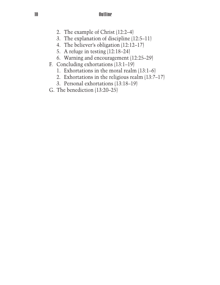- 2. The example of Christ (12:2–4)
- 3. The explanation of discipline (12:5–11)
- 4. The believer's obligation (12:12–17)
- 5. A refuge in testing (12:18–24)
- 6. Warning and encouragement (12:25–29)
- F. Concluding exhortations (13:1–19)
	- 1. Exhortations in the moral realm (13:1–6)
	- 2. Exhortations in the religious realm (13:7–17)
	- 3. Personal exhortations (13:18–19)
- G. The benediction (13:20–25)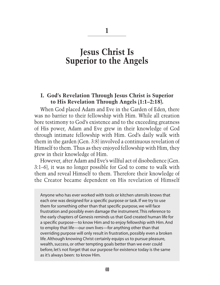## **Jesus Christ Is Superior to the Angels**

#### **I. God's Revelation Through Jesus Christ is Superior to His Revelation Through Angels (1:1–2:18).**

When God placed Adam and Eve in the Garden of Eden, there was no barrier to their fellowship with Him. While all creation bore testimony to God's existence and to the exceeding greatness of His power, Adam and Eve grew in their knowledge of God through intimate fellowship with Him. God's daily walk with them in the garden (Gen. 3:8) involved a continuous revelation of Himself to them. Thus as they enjoyed fellowship with Him, they grew in their knowledge of Him.

However, after Adam and Eve's willful act of disobedience (Gen. 3:1–6), it was no longer possible for God to come to walk with them and reveal Himself to them. Therefore their knowledge of the Creator became dependent on His revelation of Himself

Anyone who has ever worked with tools or kitchen utensils knows that each one was designed for a specific purpose or task. If we try to use them for something other than that specific purpose, we will face frustration and possibly even damage the instrument. This reference to the early chapters of Genesis reminds us that God created human life for a specific purpose—to know Him and to enjoy fellowship with Him. And to employ that life—our own lives—for anything other than that overriding purpose will only result in frustration, possibly even a broken life. Although knowing Christ certainly equips us to pursue pleasure, wealth, success, or other tempting goals better than we ever could before, let's not forget that our purpose for existence today is the same as it's always been: to know Him.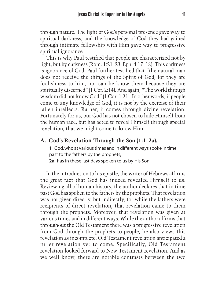through nature. The light of God's personal presence gave way to spiritual darkness, and the knowledge of God they had gained through intimate fellowship with Him gave way to progressive spiritual ignorance.

This is why Paul testified that people are characterized not by light, but by darkness (Rom. 1:21–23; Eph. 4:17–18). This darkness is ignorance of God. Paul further testified that "the natural man does not receive the things of the Spirit of God, for they are foolishness to him; nor can he know them because they are spiritually discerned" (1 Cor. 2:14). And again, "The world through wisdom did not know God" (1 Cor. 1:21). In other words, if people come to any knowledge of God, it is not by the exercise of their fallen intellects. Rather, it comes through divine revelation. Fortunately for us, our God has not chosen to hide Himself from the human race, but has acted to reveal Himself through special revelation, that we might come to know Him.

## **A. God's Revelation Through the Son (1:1–2a).**

**1** God, who at various times and in different ways spoke in time past to the fathers by the prophets,

**2a** has in these last days spoken to us by His Son,

In the introduction to his epistle, the writer of Hebrews affirms the great fact that God has indeed revealed Himself to us. Reviewing all of human history, the author declares that in time past God has spoken to the fathers by the prophets. That revelation was not given directly, but indirectly; for while the fathers were recipients of direct revelation, that revelation came to them through the prophets. Moreover, that revelation was given at various times and in different ways. While the author affirms that throughout the Old Testament there was a progressive revelation from God through the prophets to people, he also views this revelation as incomplete. Old Testament revelation anticipated a fuller revelation yet to come. Specifically, Old Testament revelation looked forward to New Testament revelation. And as we well know, there are notable contrasts between the two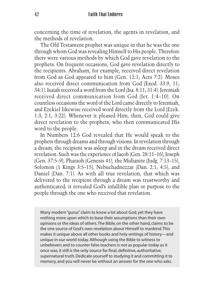concerning the time of revelation, the agents in revelation, and the methods of revelation.

The Old Testament prophet was unique in that he was the one through whom God was revealing Himself to His people. Therefore there were various methods by which God gave revelation to the prophets. On frequent occasions, God gave revelation directly to the recipients. Abraham, for example, received direct revelation from God as God appeared to him (Gen. 12:1; Acts 7:2). Moses also received direct communication from God (Exod. 33:9, 11; 34:1). Isaiah received a word from the Lord (Isa. 8:11; 31:4). Jeremiah received direct communication from God (Jer. 1:4–10). On countless occasions the word of the Lord came directly to Jeremiah, and Ezekiel likewise received word directly from the Lord (Ezek. 1:3; 2:1; 3:22). Whenever it pleased Him, then, God could give direct revelation to the prophets, who then communicated His word to the people.

In Numbers 12:6 God revealed that He would speak to the prophets through dreams and through visions. In revelation through a dream, the recipient was asleep and in the dream received direct revelation. Such was the experience of Jacob (Gen. 28:11–16), Joseph (Gen. 37:5–9), Pharaoh (Genesis 41), the Midianite (Judg. 7:13–15), Solomon (1 Kings 3:5–15), Nebuchadnezzar (Dan. 2:1; 4:5), and Daniel (Dan. 7:1). As with all true revelation, that which was delivered to the recipient through a dream was trustworthy and authenticated; it revealed God's infallible plan or purpose to the people through the one who received that revelation.

Many modern "gurus" claim to know a lot about God, yet they have nothing more upon which to base their assumptions than their own opinions or the ideas of others. The Bible, on the other hand, claims to be the one source of God's own revelation about Himself to mankind. This makes it unique above all other books and holy writings of history—and unique in our world today. Although using the Bible to witness to unbelievers and to counter false teachers is not as popular today as it once was, it still is the only source for final, definitive, authoritative, supernatural truth. Dedicate yourself to studying it and committing it to memory, and you will never be without an answer for the one who asks.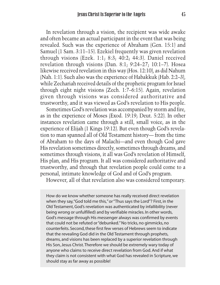In revelation through a vision, the recipient was wide awake and often became an actual participant in the event that was being revealed. Such was the experience of Abraham (Gen. 15:1) and Samuel (1 Sam. 3:11–15). Ezekiel frequently was given revelation through visions (Ezek. 1:1; 8:3; 40:2; 44:3). Daniel received revelation through visions (Dan. 8:1; 9:24–27; 10:1–7). Hosea likewise received revelation in this way (Hos. 12:10), as did Nahum (Nah. 1:1). Such also was the experience of Habakkuk (Hab. 2:2–3), while Zechariah received details of the prophetic program for Israel through eight night visions (Zech. 1:7–6:15). Again, revelation given through visions was considered authoritative and trustworthy, and it was viewed as God's revelation to His people.

Sometimes God's revelation was accompanied by storm and fire, as in the experience of Moses (Exod. 19:19; Deut. 5:22). In other instances revelation came through a still, small voice, as in the experience of Elijah (1 Kings 19:12). But even though God's revelation to man spanned all of Old Testament history— from the time of Abraham to the days of Malachi—and even though God gave His revelation sometimes directly, sometimes through dreams, and sometimes through visions, it all was God's revelation of Himself, His plan, and His program. It all was considered authoritative and trustworthy, and through that revelation people could come to a personal, intimate knowledge of God and of God's program.

However, all of that revelation also was considered temporary.

How do we know whether someone has really received direct revelation when they say, "God told me this," or "Thus says the Lord"? First, in the Old Testament, God's revelation was authenticated by infallibility (never being wrong or unfulfilled) and by verifiable miracles. In other words, God's message through His messenger always was confirmed by events that could not be refuted or "debunked." No tricks, no gimmicks, no counterfeits. Second, these first few verses of Hebrews seem to indicate that the revealing God did in the Old Testament through prophets, dreams, and visions has been replaced by a superior revelation through His Son, Jesus Christ. Therefore we should be extremely wary today of anyone who claims to receive direct revelation from God. And if what they claim is not consistent with what God has revealed in Scripture, we should stay as far away as possible!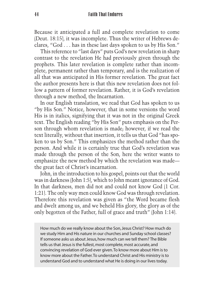Because it anticipated a full and complete revelation to come (Deut. 18:15), it was incomplete. Thus the writer of Hebrews declares, "God . . . has in these last days spoken to us by His Son."

This reference to "last days" puts God's new revelation in sharp contrast to the revelation He had previously given through the prophets. This later revelation is complete rather than incomplete, permanent rather than temporary, and is the realization of all that was anticipated in His former revelation. The great fact the author presents here is that this new revelation does not follow a pattern of former revelation. Rather, it is God's revelation through a new method, the Incarnation.

In our English translation, we read that God has spoken to us "by His Son." Notice, however, that in some versions the word His is in italics, signifying that it was not in the original Greek text. The English reading "by His Son" puts emphasis on the Person through whom revelation is made; however, if we read the text literally, without that insertion, it tells us that God "has spoken to us by Son." This emphasizes the method rather than the person. And while it is certainly true that God's revelation was made through the person of the Son, here the writer wants to emphasize the new method by which the revelation was made the great fact of Christ's incarnation.

John, in the introduction to his gospel, points out that the world was in darkness (John 1:5), which to John meant ignorance of God. In that darkness, men did not and could not know God (1 Cor. 1:21). The only way men could know God was through revelation. Therefore this revelation was given as "the Word became flesh and dwelt among us, and we beheld His glory, the glory as of the only begotten of the Father, full of grace and truth" (John 1:14).

How much do we really know about the Son, Jesus Christ? How much do we study Him and His nature in our churches and Sunday school classes? If someone asks us about Jesus, how much can we tell them? The Bible tells us that Jesus is the fullest, most complete, most accurate, and convincing revelation of God ever given. To know more about Him is to know more about the Father. To understand Christ and His ministry is to understand God and to understand what He is doing in our lives today.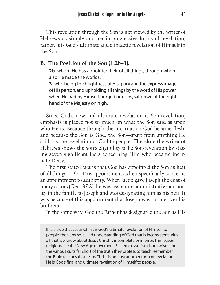This revelation through the Son is not viewed by the writer of Hebrews as simply another in progressive forms of revelation; rather, it is God's ultimate and climactic revelation of Himself in the Son.

## **B. The Position of the Son (1:2b–3).**

**2b** whom He has appointed heir of all things, through whom also He made the worlds;

**3** who being the brightness of His glory and the express image of His person, and upholding all things by the word of His power, when He had by Himself purged our sins, sat down at the right hand of the Majesty on high,

Since God's new and ultimate revelation is Son-revelation, emphasis is placed not so much on what the Son said as upon who He is. Because through the incarnation God became flesh, and because the Son is God, the Son—apart from anything He said—is the revelation of God to people. Therefore the writer of Hebrews shows the Son's eligibility to be Son-revelation by stating seven significant facts concerning Him who became incarnate Deity.

The first stated fact is that God has appointed the Son as heir of all things (1:2b). This appointment as heir specifically concerns an appointment to authority. When Jacob gave Joseph the coat of many colors (Gen. 37:3), he was assigning administrative authority in the family to Joseph and was designating him as his heir. It was because of this appointment that Joseph was to rule over his brothers.

In the same way, God the Father has designated the Son as His

If it is true that Jesus Christ is God's ultimate revelation of Himself to people, then any so-called understanding of God that is inconsistent with all that we know about Jesus Christ is incomplete or in error. This leaves religions like the New Age movement, Eastern mysticism, humanism and the various cults far short of the truth they profess to teach. Remember, the Bible teaches that Jesus Christ is not just another form of revelation; He is God's final and ultimate revelation of Himself to people.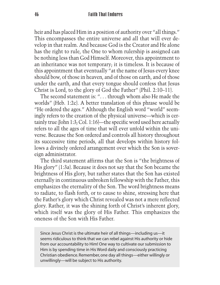heir and has placed Him in a position of authority over "all things." This encompasses the entire universe and all that will ever develop in that realm. And because God is the Creator and He alone has the right to rule, the One to whom rulership is assigned can be nothing less than God Himself. Moreover, this appointment to an inheritance was not temporary; it is timeless. It is because of this appointment that eventually "at the name of Jesus every knee should bow, of those in heaven, and of those on earth, and of those under the earth, and that every tongue should confess that Jesus Christ is Lord, to the glory of God the Father" (Phil. 2:10–11).

The second statement is: ". . . through whom also He made the worlds" (Heb. 1:2c). A better translation of this phrase would be "He ordered the ages." Although the English word "world" seemingly refers to the creation of the physical universe—which is certainly true (John 1:3; Col. 1:16)—the specific word used here actually refers to all the ages of time that will ever unfold within the universe. Because the Son ordered and controls all history throughout its successive time periods, all that develops within history follows a divinely ordered arrangement over which the Son is sovereign administrator.

The third statement affirms that the Son is "the brightness of His glory" (1:3a). Because it does not say that the Son became the brightness of His glory, but rather states that the Son has existed eternally in continuous unbroken fellowship with the Father, this emphasizes the eternality of the Son. The word brightness means to radiate, to flash forth, or to cause to shine, stressing here that the Father's glory which Christ revealed was not a mere reflected glory. Rather, it was the shining forth of Christ's inherent glory, which itself was the glory of His Father. This emphasizes the oneness of the Son with His Father.

Since Jesus Christ is the ultimate heir of all things—including us—it seems ridiculous to think that we can rebel against His authority or hide from our accountability to Him! One way to cultivate our submission to Him is by spending time in His Word daily and consciously practicing Christian obedience. Remember, one day all things—either willingly or unwillingly—will be subject to His authority.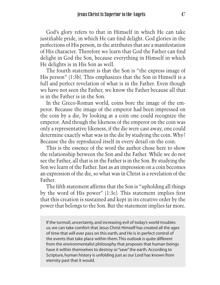God's glory refers to that in Himself in which He can take justifiable pride, in which He can find delight. God glories in the perfections of His person, in the attributes that are a manifestation of His character. Therefore we learn that God the Father can find delight in God the Son, because everything in Himself in which He delights is in His Son as well.

The fourth statement is that the Son is "the express image of His person" (1:3b). This emphasizes that the Son in Himself is a full and perfect revelation of what is in the Father. Even though we have not seen the Father, we know the Father because all that is in the Father is in the Son.

In the Greco-Roman world, coins bore the image of the emperor. Because the image of the emperor had been impressed on the coin by a die, by looking at a coin one could recognize the emperor. And though the likeness of the emperor on the coin was only a representative likeness, if the die were cast away, one could determine exactly what was in the die by studying the coin. Why? Because the die reproduced itself in every detail on the coin.

This is the essence of the word the author chose here to show the relationship between the Son and the Father. While we do not see the Father, all that is in the Father is in the Son. By studying the Son we learn of the Father. Just as an impression on a coin becomes an expression of the die, so what was in Christ is a revelation of the Father.

The fifth statement affirms that the Son is "upholding all things by the word of His power" (1:3c). This statement implies first that this creation is sustained and kept in its creative order by the power that belongs to the Son. But the statement implies far more.

If the turmoil, uncertainty, and increasing evil of today's world troubles us, we can take comfort that Jesus Christ Himself has created all the ages of time that will ever pass on this earth, and He is in perfect control of the events that take place within them. This outlook is quite different from the environmentalist philosophy that proposes that human beings have it within themselves to destroy or "save" the earth. According to Scripture, human history is unfolding just as our Lord has known from eternity past that it would.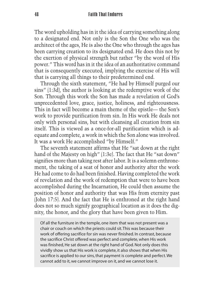The word upholding has in it the idea of carrying something along to a designated end. Not only is the Son the One who was the architect of the ages, He is also the One who through the ages has been carrying creation to its designated end. He does this not by the exertion of physical strength but rather "by the word of His power." This word has in it the idea of an authoritative command that is consequently executed, implying the exercise of His will that is carrying all things to their predetermined end.

Through the sixth statement, "He had by Himself purged our sins" (1:3d), the author is looking at the redemptive work of the Son. Through this work the Son has made a revelation of God's unprecedented love, grace, justice, holiness, and righteousness. This in fact will become a main theme of the epistle— the Son's work to provide purification from sin. In His work He deals not only with personal sins, but with cleansing all creation from sin itself. This is viewed as a once-for-all purification which is adequate and complete, a work in which the Son alone was involved. It was a work He accomplished "by Himself."

The seventh statement affirms that He "sat down at the right hand of the Majesty on high" (1:3e). The fact that He "sat down" signifies more than taking rest after labor. It is a solemn enthronement, the taking of a seat of honor and authority after the work He had come to do had been finished. Having completed the work of revelation and the work of redemption that were to have been accomplished during the Incarnation, He could then assume the position of honor and authority that was His from eternity past (John 17:5). And the fact that He is enthroned at the right hand does not so much signify geographical location as it does the dignity, the honor, and the glory that have been given to Him.

Of all the furniture in the temple, one item that was not present was a chair or couch on which the priests could sit. This was because their work of offering sacrifice for sin was never finished. In contrast, because the sacrifice Christ offered was perfect and complete, when His work was finished, He sat down at the right hand of God. Not only does this vividly show us that His work is complete, it also shows that when His sacrifice is applied to our sins, that payment is complete and perfect. We cannot add to it, we cannot improve on it, and we cannot lose it.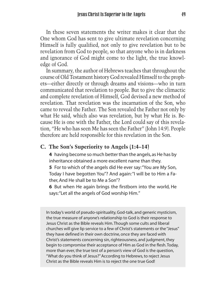In these seven statements the writer makes it clear that the One whom God has sent to give ultimate revelation concerning Himself is fully qualified, not only to give revelation but to be revelation from God to people, so that anyone who is in darkness and ignorance of God might come to the light, the true knowledge of God.

In summary, the author of Hebrews teaches that throughout the course of Old Testament history God revealed Himself to the prophets—either directly or through dreams and visions—who in turn communicated that revelation to people. But to give the climactic and complete revelation of Himself, God devised a new method of revelation. That revelation was the incarnation of the Son, who came to reveal the Father. The Son revealed the Father not only by what He said, which also was revelation, but by what He is. Because He is one with the Father, the Lord could say of this revelation, "He who has seen Me has seen the Father" (John 14:9). People therefore are held responsible for this revelation in the Son.

### **C. The Son's Superiority to Angels (1:4–14)**

**4** having become so much better than the angels, as He has by inheritance obtained a more excellent name than they.

**5** For to which of the angels did He ever say: "You are My Son, Today I have begotten You"? And again: "I will be to Him a Father, And He shall be to Me a Son"?

**6** But when He again brings the firstborn into the world, He says: "Let all the angels of God worship Him."

In today's world of pseudo-spirituality, God-talk, and generic mysticism, the true measure of anyone's relationship to God is their response to Jesus Christ as the Bible reveals Him. Though some cults and liberal churches will give lip service to a few of Christ's statements or the "Jesus" they have defined in their own doctrine, once they are faced with Christ's statements concerning sin, righteousness, and judgment, they begin to compromise their acceptance of Him as God in the flesh. Today, more than ever, the true test of a person's view of God is the question, "What do you think of Jesus?" According to Hebrews, to reject Jesus Christ as the Bible reveals Him is to reject the one true God!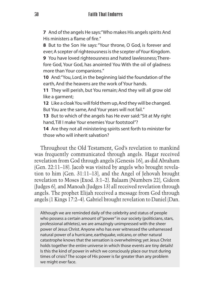**7** And of the angels He says: "Who makes His angels spirits And His ministers a flame of fire."

**8** But to the Son He says: "Your throne, O God, is forever and ever; A scepter of righteousness is the scepter of Your Kingdom.

**9** You have loved righteousness and hated lawlessness; Therefore God, Your God, has anointed You With the oil of gladness more than Your companions."

**10** And: "You, Lord, in the beginning laid the foundation of the earth, And the heavens are the work of Your hands.

**11** They will perish, but You remain; And they will all grow old like a garment;

**12** Like a cloak You will fold them up, And they will be changed. But You are the same, And Your years will not fail."

**13** But to which of the angels has He ever said: "Sit at My right hand, Till I make Your enemies Your footstool"?

**14** Are they not all ministering spirits sent forth to minister for those who will inherit salvation?

Throughout the Old Testament, God's revelation to mankind was frequently communicated through angels. Hagar received revelation from God through angels (Genesis 16), as did Abraham (Gen. 22:11–18). Jacob was visited by angels who brought revelation to him (Gen. 31:11–13), and the Angel of Jehovah brought revelation to Moses (Exod. 3:1–2). Balaam (Numbers 22), Gideon (Judges 6), and Manoah (Judges 13) all received revelation through angels. The prophet Elijah received a message from God through angels (1 Kings 17:2–4). Gabriel brought revelation to Daniel (Dan.

Although we are reminded daily of the celebrity and status of people who possess a certain amount of "power" in our society (politicians, stars, professional athletes), we are amazingly unimpressed with the sheer power of Jesus Christ. Anyone who has ever witnessed the unharnessed natural power of a hurricane, earthquake, volcano, or other natural catastrophe knows that the sensation is overwhelming; yet Jesus Christ holds together the entire universe in which those events are tiny details! Is this the kind of power in which we consciously place our trust during times of crisis? The scope of His power is far greater than any problem we might ever face.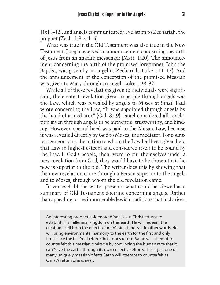10:11–12), and angels communicated revelation to Zechariah, the prophet (Zech. 1:9; 4:1–6).

What was true in the Old Testament was also true in the New Testament. Joseph received an announcement concerning the birth of Jesus from an angelic messenger (Matt. 1:20). The announcement concerning the birth of the promised forerunner, John the Baptist, was given by an angel to Zechariah (Luke 1:11–17). And the announcement of the conception of the promised Messiah was given to Mary through an angel (Luke 1:28–32).

While all of these revelations given to individuals were significant, the greatest revelation given to people through angels was the Law, which was revealed by angels to Moses at Sinai. Paul wrote concerning the Law, "It was appointed through angels by the hand of a mediator" (Gal. 3:19). Israel considered all revelation given through angels to be authentic, trustworthy, and binding. However, special heed was paid to the Mosaic Law, because it was revealed directly by God to Moses, the mediator. For countless generations, the nation to whom the Law had been given held that Law in highest esteem and considered itself to be bound by the Law. If God's people, then, were to put themselves under a new revelation from God, they would have to be shown that the new is superior to the old. The writer does this by showing that the new revelation came through a Person superior to the angels and to Moses, through whom the old revelation came.

In verses 4–14 the writer presents what could be viewed as a summary of Old Testament doctrine concerning angels. Rather than appealing to the innumerable Jewish traditions that had arisen

An interesting prophetic sidenote: When Jesus Christ returns to establish His millennial kingdom on this earth, He will redeem the creation itself from the effects of man's sin at the Fall. In other words, He will bring environmental harmony to the earth for the first and only time since the fall. Yet, before Christ does return, Satan will attempt to counterfeit this messianic miracle by convincing the human race that it can "save the earth" through its own collective efforts. This is just one of many uniquely messianic feats Satan will attempt to counterfeit as Christ's return draws near.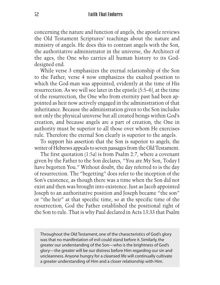concerning the nature and function of angels, the apostle reviews the Old Testament Scriptures' teachings about the nature and ministry of angels. He does this to contrast angels with the Son, the authoritative administrator in the universe, the Architect of the ages, the One who carries all human history to its Goddesigned end.

While verse 3 emphasizes the eternal relationship of the Son to the Father, verse 4 now emphasizes the exalted position to which the God-man was appointed, evidently at the time of His resurrection. As we will see later in the epistle (5:5–6), at the time of the resurrection, the One who from eternity past had been appointed as heir now actively engaged in the administration of that inheritance. Because the administration given to the Son includes not only the physical universe but all created beings within God's creation, and because angels are a part of creation, the One in authority must be superior to all those over whom He exercises rule. Therefore the eternal Son clearly is superior to the angels.

To support his assertion that the Son is superior to angels, the writer of Hebrews appeals to seven passages from the Old Testament.

The first quotation (1:5a) is from Psalm 2:7, where a covenant given by the Father to the Son declares, "You are My Son, Today I have begotten You." Without doubt, the day referred to is the day of resurrection. The "begetting" does refer to the inception of the Son's existence, as though there was a time when the Son did not exist and then was brought into existence. Just as Jacob appointed Joseph to an authoritative position and Joseph became "the son" or "the heir" at that specific time, so at the specific time of the resurrection, God the Father established the positional right of the Son to rule. That is why Paul declared in Acts 13:33 that Psalm

Throughout the Old Testament, one of the characteristics of God's glory was that no manifestation of evil could stand before it. Similarly, the greater our understanding of the Son—who is the brightness of God's glory—the greater will be our distress before Him regarding our sin and uncleanness. Anyone hungry for a cleansed life will continually cultivate a greater understanding of Him and a closer relationship with Him.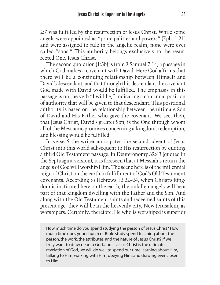2:7 was fulfilled by the resurrection of Jesus Christ. While some angels were appointed as "principalities and powers" (Eph. 1:21) and were assigned to rule in the angelic realm, none were ever called "sons." This authority belongs exclusively to the resurrected One, Jesus Christ.

The second quotation (1:5b) is from 2 Samuel 7:14, a passage in which God makes a covenant with David. Here God affirms that there will be a continuing relationship between Himself and David's descendant, and that through this descendant the covenant God made with David would be fulfilled. The emphasis in this passage is on the verb "I will be," indicating a continual position of authority that will be given to that descendant. This positional authority is based on the relationship between the ultimate Son of David and His Father who gave the covenant. We see, then, that Jesus Christ, David's greater Son, is the One through whom all of the Messianic promises concerning a kingdom, redemption, and blessing would be fulfilled.

In verse 6 the writer anticipates the second advent of Jesus Christ into this world subsequent to His resurrection by quoting a third Old Testament passage. In Deuteronomy 32:43 (quoted in the Septuagint version), it is foreseen that at Messiah's return the angels of God will worship Him. The scene here is of the millennial reign of Christ on the earth in fulfillment of God's Old Testament covenants. According to Hebrews 12:22–24, when Christ's kingdom is instituted here on the earth, the unfallen angels will be a part of that kingdom dwelling with the Father and the Son. And along with the Old Testament saints and redeemed saints of this present age, they will be in the heavenly city, New Jerusalem, as worshipers. Certainly, therefore, He who is worshiped is superior

How much time do you spend studying the person of Jesus Christ? How much time does your church or Bible study spend teaching about the person, the work, the attributes, and the nature of Jesus Christ? If we truly want to draw near to God, and if Jesus Christ is the ultimate revelation of God, we will do well to spend our time learning about Him, talking to Him, walking with Him, obeying Him, and drawing ever closer to Him.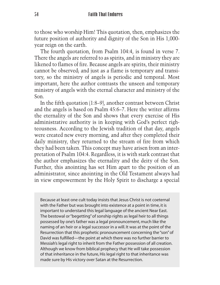to those who worship Him! This quotation, then, emphasizes the future position of authority and dignity of the Son in His 1,000 year reign on the earth.

The fourth quotation, from Psalm 104:4, is found in verse 7. There the angels are referred to as spirits, and in ministry they are likened to flames of fire. Because angels are spirits, their ministry cannot be observed; and just as a flame is temporary and transitory, so the ministry of angels is periodic and temporal. Most important, here the author contrasts the unseen and temporary ministry of angels with the eternal character and ministry of the Son.

In the fifth quotation (1:8–9), another contrast between Christ and the angels is based on Psalm 45:6–7. Here the writer affirms the eternality of the Son and shows that every exercise of His administrative authority is in keeping with God's perfect righteousness. According to the Jewish tradition of that day, angels were created new every morning, and after they completed their daily ministry, they returned to the stream of fire from which they had been taken. This concept may have arisen from an interpretation of Psalm 104:4. Regardless, it is with stark contrast that the author emphasizes the eternality and the deity of the Son. Further, this anointing has set Him apart to the position of an administrator, since anointing in the Old Testament always had in view empowerment by the Holy Spirit to discharge a special

Because at least one cult today insists that Jesus Christ is not coeternal with the Father but was brought into existence at a point in time, it is important to understand this legal language of the ancient Near East. The bestowal or "begetting" of sonship rights as legal heir to all things possessed by one's father was a legal pronouncement, much like the naming of an heir or a legal successor in a will. It was at the point of the Resurrection that this prophetic pronouncement concerning the "son" of David was fulfilled—the point at which there was no further barrier to Messiah's legal right to inherit from the Father possession of all creation. Although we know from biblical prophecy that He will take possession of that inheritance in the future, His legal right to that inheritance was made sure by His victory over Satan at the Resurrection.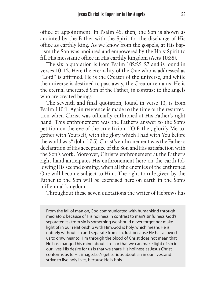office or appointment. In Psalm 45, then, the Son is shown as anointed by the Father with the Spirit for the discharge of His office as earthly king. As we know from the gospels, at His baptism the Son was anointed and empowered by the Holy Spirit to fill His messianic office in His earthly kingdom (Acts 10:38).

The sixth quotation is from Psalm 102:25–27 and is found in verses 10–12. Here the eternality of the One who is addressed as "Lord" is affirmed. He is the Creator of the universe, and while the universe is destined to pass away, the Creator remains. He is the eternal uncreated Son of the Father, in contrast to the angels who are created beings.

The seventh and final quotation, found in verse 13, is from Psalm 110:1. Again reference is made to the time of the resurrection when Christ was officially enthroned at His Father's right hand. This enthronement was the Father's answer to the Son's petition on the eve of the crucifixion: "O Father, glorify Me together with Yourself, with the glory which I had with You before the world was" (John 17:5). Christ's enthronement was the Father's declaration of His acceptance of the Son and His satisfaction with the Son's work. Moreover, Christ's enthronement at the Father's right hand anticipates His enthronement here on the earth following His second coming, when all the enemies of the enthroned One will become subject to Him. The right to rule given by the Father to the Son will be exercised here on earth in the Son's millennial kingdom.

Throughout these seven quotations the writer of Hebrews has

From the fall of man on, God communicated with humankind through mediators because of His holiness in contrast to man's sinfulness. God's separateness from sin is something we should never forget nor make light of in our relationship with Him. God is holy, which means He is entirely without sin and separate from sin. Just because He has allowed us to draw near to Him through the blood of Christ does not mean that He has changed his mind about sin—or that we can make light of sin in our lives. His desire for us is that we share His holiness as Jesus Christ conforms us to His image. Let's get serious about sin in our lives, and strive to live holy lives, because He is holy.